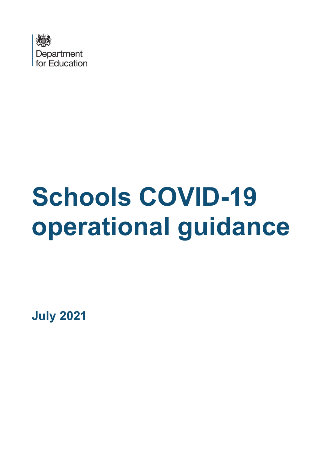

# **Schools COVID-19 operational guidance**

**July 2021**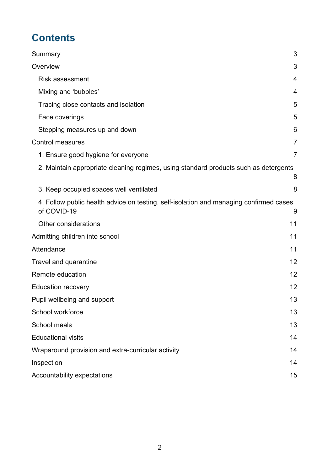# **Contents**

| Summary                                                                                               | 3              |
|-------------------------------------------------------------------------------------------------------|----------------|
| Overview                                                                                              | 3              |
| <b>Risk assessment</b>                                                                                | 4              |
| Mixing and 'bubbles'                                                                                  | 4              |
| Tracing close contacts and isolation                                                                  | 5              |
| Face coverings                                                                                        | 5              |
| Stepping measures up and down                                                                         | 6              |
| <b>Control measures</b>                                                                               | $\overline{7}$ |
| 1. Ensure good hygiene for everyone                                                                   | 7              |
| 2. Maintain appropriate cleaning regimes, using standard products such as detergents                  | 8              |
| 3. Keep occupied spaces well ventilated                                                               | 8              |
| 4. Follow public health advice on testing, self-isolation and managing confirmed cases<br>of COVID-19 | 9              |
| Other considerations                                                                                  | 11             |
| Admitting children into school                                                                        | 11             |
| Attendance                                                                                            | 11             |
| Travel and quarantine                                                                                 | 12             |
| Remote education<br>12                                                                                |                |
| <b>Education recovery</b>                                                                             | 12             |
| Pupil wellbeing and support                                                                           | 13             |
| School workforce                                                                                      | 13             |
| School meals                                                                                          | 13             |
| <b>Educational visits</b>                                                                             | 14             |
| Wraparound provision and extra-curricular activity                                                    | 14             |
| Inspection                                                                                            | 14             |
| Accountability expectations                                                                           | 15             |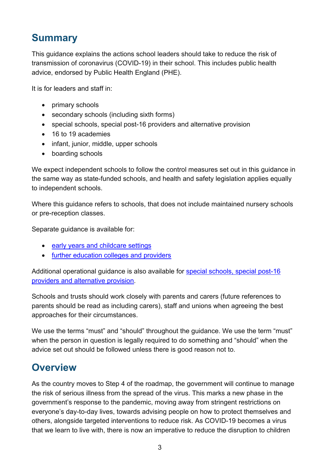# <span id="page-2-0"></span>**Summary**

This guidance explains the actions school leaders should take to reduce the risk of transmission of coronavirus (COVID-19) in their school. This includes public health advice, endorsed by Public Health England (PHE).

It is for leaders and staff in:

- primary schools
- secondary schools (including sixth forms)
- special schools, special post-16 providers and alternative provision
- 16 to 19 academies
- infant, junior, middle, upper schools
- boarding schools

We expect independent schools to follow the control measures set out in this guidance in the same way as state-funded schools, and health and safety legislation applies equally to independent schools.

Where this guidance refers to schools, that does not include maintained nursery schools or pre-reception classes.

Separate guidance is available for:

- [early years and childcare settings](https://www.gov.uk/government/publications/coronavirus-covid-19-early-years-and-childcare-closures)
- [further education colleges and providers](https://www.gov.uk/government/publications/coronavirus-covid-19-maintaining-further-education-provision)

Additional operational guidance is also available for [special schools, special post-16](https://www.gov.uk/government/publications/guidance-for-full-opening-special-schools-and-other-specialist-settings)  [providers and alternative provision.](https://www.gov.uk/government/publications/guidance-for-full-opening-special-schools-and-other-specialist-settings)

Schools and trusts should work closely with parents and carers (future references to parents should be read as including carers), staff and unions when agreeing the best approaches for their circumstances.

We use the terms "must" and "should" throughout the guidance. We use the term "must" when the person in question is legally required to do something and "should" when the advice set out should be followed unless there is good reason not to.

## <span id="page-2-1"></span>**Overview**

As the country moves to Step 4 of the roadmap, the government will continue to manage the risk of serious illness from the spread of the virus. This marks a new phase in the government's response to the pandemic, moving away from stringent restrictions on everyone's day-to-day lives, towards advising people on how to protect themselves and others, alongside targeted interventions to reduce risk. As COVID-19 becomes a virus that we learn to live with, there is now an imperative to reduce the disruption to children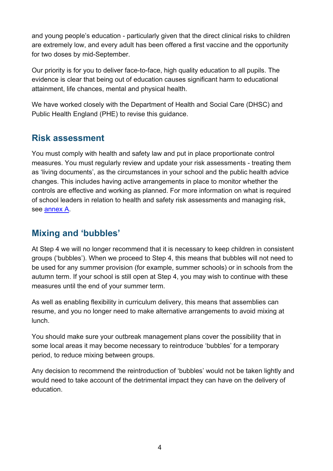and young people's education - particularly given that the direct clinical risks to children are extremely low, and every adult has been offered a first vaccine and the opportunity for two doses by mid-September.

Our priority is for you to deliver face-to-face, high quality education to all pupils. The evidence is clear that being out of education causes significant harm to educational attainment, life chances, mental and physical health.

We have worked closely with the Department of Health and Social Care (DHSC) and Public Health England (PHE) to revise this guidance.

## <span id="page-3-0"></span>**Risk assessment**

You must comply with health and safety law and put in place proportionate control measures. You must regularly review and update your risk assessments - treating them as 'living documents', as the circumstances in your school and the public health advice changes. This includes having active arrangements in place to monitor whether the controls are effective and working as planned. For more information on what is required of school leaders in relation to health and safety risk assessments and managing risk, see [annex A.](https://www.gov.uk/government/publications/actions-for-schools-during-the-coronavirus-outbreak/annex-a-health-and-safety-risk-assessment)

## <span id="page-3-1"></span>**Mixing and 'bubbles'**

At Step 4 we will no longer recommend that it is necessary to keep children in consistent groups ('bubbles'). When we proceed to Step 4, this means that bubbles will not need to be used for any summer provision (for example, summer schools) or in schools from the autumn term. If your school is still open at Step 4, you may wish to continue with these measures until the end of your summer term.

As well as enabling flexibility in curriculum delivery, this means that assemblies can resume, and you no longer need to make alternative arrangements to avoid mixing at lunch.

You should make sure your outbreak management plans cover the possibility that in some local areas it may become necessary to reintroduce 'bubbles' for a temporary period, to reduce mixing between groups.

Any decision to recommend the reintroduction of 'bubbles' would not be taken lightly and would need to take account of the detrimental impact they can have on the delivery of education.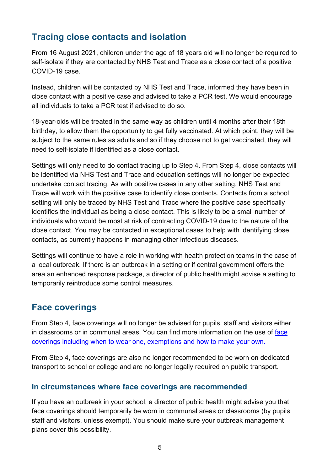## <span id="page-4-0"></span>**Tracing close contacts and isolation**

From 16 August 2021, children under the age of 18 years old will no longer be required to self-isolate if they are contacted by NHS Test and Trace as a close contact of a positive COVID-19 case.

Instead, children will be contacted by NHS Test and Trace, informed they have been in close contact with a positive case and advised to take a PCR test. We would encourage all individuals to take a PCR test if advised to do so.

18-year-olds will be treated in the same way as children until 4 months after their 18th birthday, to allow them the opportunity to get fully vaccinated. At which point, they will be subject to the same rules as adults and so if they choose not to get vaccinated, they will need to self-isolate if identified as a close contact.

Settings will only need to do contact tracing up to Step 4. From Step 4, close contacts will be identified via NHS Test and Trace and education settings will no longer be expected undertake contact tracing. As with positive cases in any other setting, NHS Test and Trace will work with the positive case to identify close contacts. Contacts from a school setting will only be traced by NHS Test and Trace where the positive case specifically identifies the individual as being a close contact. This is likely to be a small number of individuals who would be most at risk of contracting COVID-19 due to the nature of the close contact. You may be contacted in exceptional cases to help with identifying close contacts, as currently happens in managing other infectious diseases.

Settings will continue to have a role in working with health protection teams in the case of a local outbreak. If there is an outbreak in a setting or if central government offers the area an enhanced response package, a director of public health might advise a setting to temporarily reintroduce some control measures.

## <span id="page-4-1"></span>**Face coverings**

From Step 4, face coverings will no longer be advised for pupils, staff and visitors either in classrooms or in communal areas. You can find more information on the use of [face](https://www.gov.uk/government/publications/face-coverings-when-to-wear-one-and-how-to-make-your-own/face-coverings-when-to-wear-one-and-how-to-make-your-own)  coverings including [when to wear one, exemptions and](https://www.gov.uk/government/publications/face-coverings-when-to-wear-one-and-how-to-make-your-own/face-coverings-when-to-wear-one-and-how-to-make-your-own) how to make your own.

From Step 4, face coverings are also no longer recommended to be worn on dedicated transport to school or college and are no longer legally required on public transport.

#### **In circumstances where face coverings are recommended**

If you have an outbreak in your school, a director of public health might advise you that face coverings should temporarily be worn in communal areas or classrooms (by pupils staff and visitors, unless exempt). You should make sure your outbreak management plans cover this possibility.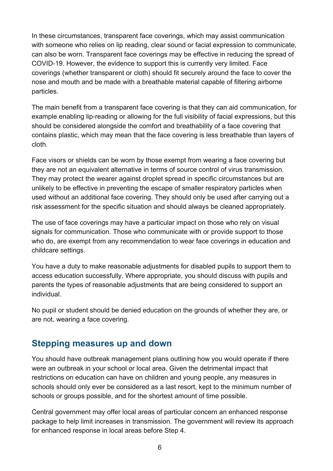In these circumstances, transparent face coverings, which may assist communication with someone who relies on lip reading, clear sound or facial expression to communicate, can also be worn. Transparent face coverings may be effective in reducing the spread of COVID-19. However, the evidence to support this is currently very limited. Face coverings (whether transparent or cloth) should fit securely around the face to cover the nose and mouth and be made with a breathable material capable of filtering airborne particles.

The main benefit from a transparent face covering is that they can aid communication, for example enabling lip-reading or allowing for the full visibility of facial expressions, but this should be considered alongside the comfort and breathability of a face covering that contains plastic, which may mean that the face covering is less breathable than layers of cloth.

Face visors or shields can be worn by those exempt from wearing a face covering but they are not an equivalent alternative in terms of source control of virus transmission. They may protect the wearer against droplet spread in specific circumstances but are unlikely to be effective in preventing the escape of smaller respiratory particles when used without an additional face covering. They should only be used after carrying out a risk assessment for the specific situation and should always be cleaned appropriately.

The use of face coverings may have a particular impact on those who rely on visual signals for communication. Those who communicate with or provide support to those who do, are exempt from any recommendation to wear face coverings in education and childcare settings.

You have a duty to make reasonable adjustments for disabled pupils to support them to access education successfully. Where appropriate, you should discuss with pupils and parents the types of reasonable adjustments that are being considered to support an individual.

No pupil or student should be denied education on the grounds of whether they are, or are not, wearing a face covering.

## <span id="page-5-0"></span>**Stepping measures up and down**

You should have outbreak management plans outlining how you would operate if there were an outbreak in your school or local area. Given the detrimental impact that restrictions on education can have on children and young people, any measures in schools should only ever be considered as a last resort, kept to the minimum number of schools or groups possible, and for the shortest amount of time possible.

Central government may offer local areas of particular concern an enhanced response package to help limit increases in transmission. The government will review its approach for enhanced response in local areas before Step 4.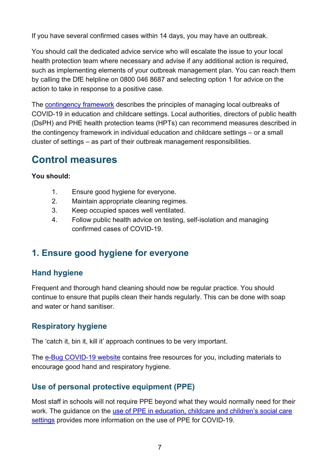If you have several confirmed cases within 14 days, you may have an outbreak.

You should call the dedicated advice service who will escalate the issue to your local health protection team where necessary and advise if any additional action is required, such as implementing elements of your outbreak management plan. You can reach them by calling the DfE helpline on 0800 046 8687 and selecting option 1 for advice on the action to take in response to a positive case.

The [contingency framework](https://www.gov.uk/government/publications/coronavirus-covid-19-local-restrictions-in-education-and-childcare-settings/contingency-framework-education-and-childcare-settings) describes the principles of managing local outbreaks of COVID-19 in education and childcare settings. Local authorities, directors of public health (DsPH) and PHE health protection teams (HPTs) can recommend measures described in the contingency framework in individual education and childcare settings – or a small cluster of settings – as part of their outbreak management responsibilities.

# <span id="page-6-0"></span>**Control measures**

#### **You should:**

- 1. Ensure good hygiene for everyone.
- 2. Maintain appropriate cleaning regimes.
- 3. Keep occupied spaces well ventilated.
- 4. Follow public health advice on testing, self-isolation and managing confirmed cases of COVID-19.

## <span id="page-6-1"></span>**1. Ensure good hygiene for everyone**

#### **Hand hygiene**

Frequent and thorough hand cleaning should now be regular practice. You should continue to ensure that pupils clean their hands regularly. This can be done with soap and water or hand sanitiser.

## **Respiratory hygiene**

The 'catch it, bin it, kill it' approach continues to be very important.

The [e-Bug COVID-19 website](https://e-bug.eu/eng_home.aspx?cc=eng&ss=1&t=Information%20about%20the%20Coronavirus) contains free resources for you, including materials to encourage good hand and respiratory hygiene.

## **Use of personal protective equipment (PPE)**

Most staff in schools will not require PPE beyond what they would normally need for their work. The guidance on the use of PPE in education, childcare and children's social care [settings](https://www.gov.uk/government/publications/safe-working-in-education-childcare-and-childrens-social-care/safe-working-in-education-childcare-and-childrens-social-care-settings-including-the-use-of-personal-protective-equipment-ppe) provides more information on the use of PPE for COVID-19.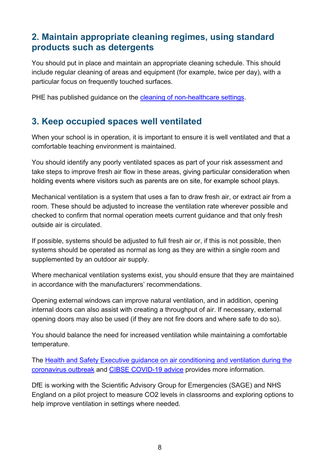## <span id="page-7-0"></span>**2. Maintain appropriate cleaning regimes, using standard products such as detergents**

You should put in place and maintain an appropriate cleaning schedule. This should include regular cleaning of areas and equipment (for example, twice per day), with a particular focus on frequently touched surfaces.

PHE has published quidance on the [cleaning of non-healthcare settings.](https://www.gov.uk/government/publications/covid-19-decontamination-in-non-healthcare-settings)

## <span id="page-7-1"></span>**3. Keep occupied spaces well ventilated**

When your school is in operation, it is important to ensure it is well ventilated and that a comfortable teaching environment is maintained.

You should identify any poorly ventilated spaces as part of your risk assessment and take steps to improve fresh air flow in these areas, giving particular consideration when holding events where visitors such as parents are on site, for example school plays.

Mechanical ventilation is a system that uses a fan to draw fresh air, or extract air from a room. These should be adjusted to increase the ventilation rate wherever possible and checked to confirm that normal operation meets current guidance and that only fresh outside air is circulated.

If possible, systems should be adjusted to full fresh air or, if this is not possible, then systems should be operated as normal as long as they are within a single room and supplemented by an outdoor air supply.

Where mechanical ventilation systems exist, you should ensure that they are maintained in accordance with the manufacturers' recommendations.

Opening external windows can improve natural ventilation, and in addition, opening internal doors can also assist with creating a throughput of air. If necessary, external opening doors may also be used (if they are not fire doors and where safe to do so).

You should balance the need for increased ventilation while maintaining a comfortable temperature.

The [Health and Safety Executive guidance on air conditioning and ventilation during the](https://www.hse.gov.uk/coronavirus/equipment-and-machinery/air-conditioning-and-ventilation/index.htm)  [coronavirus outbreak](https://www.hse.gov.uk/coronavirus/equipment-and-machinery/air-conditioning-and-ventilation/index.htm) and [CIBSE COVID-19 advice](https://www.cibse.org/coronavirus-covid-19) provides more information.

DfE is working with the Scientific Advisory Group for Emergencies (SAGE) and NHS England on a pilot project to measure CO2 levels in classrooms and exploring options to help improve ventilation in settings where needed.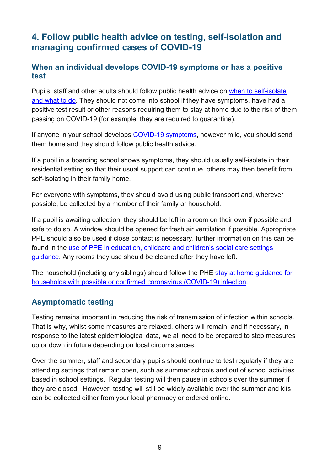## <span id="page-8-0"></span>**4. Follow public health advice on testing, self-isolation and managing confirmed cases of COVID-19**

#### **When an individual develops COVID-19 symptoms or has a positive test**

Pupils, staff and other adults should follow public health advice on [when to self-isolate](https://www.nhs.uk/conditions/coronavirus-covid-19/self-isolation-and-treatment/when-to-self-isolate-and-what-to-do/)  [and what to do.](https://www.nhs.uk/conditions/coronavirus-covid-19/self-isolation-and-treatment/when-to-self-isolate-and-what-to-do/) They should not come into school if they have [symptoms,](https://www.nhs.uk/conditions/coronavirus-covid-19/symptoms/) have had a positive test result or other reasons requiring them to stay at home due to the risk of them passing on COVID-19 (for example, they are required to quarantine).

If anyone in your school develops [COVID-19 symptoms,](https://www.nhs.uk/conditions/coronavirus-covid-19/symptoms/) however mild, you should send them home and they should follow public health advice.

If a pupil in a boarding school shows symptoms, they should usually self-isolate in their residential setting so that their usual support can continue, others may then benefit from self-isolating in their family home.

For everyone with symptoms, they should avoid using public transport and, wherever possible, be collected by a member of their family or household.

If a pupil is awaiting collection, they should be left in a room on their own if possible and safe to do so. A window should be opened for fresh air ventilation if possible. Appropriate PPE should also be used if close contact is necessary, further information on this can be found in the [use of PPE in education, childcare and children's social care settings](https://www.gov.uk/government/publications/safe-working-in-education-childcare-and-childrens-social-care/safe-working-in-education-childcare-and-childrens-social-care-settings-including-the-use-of-personal-protective-equipment-ppe)  [guidance.](https://www.gov.uk/government/publications/safe-working-in-education-childcare-and-childrens-social-care/safe-working-in-education-childcare-and-childrens-social-care-settings-including-the-use-of-personal-protective-equipment-ppe) Any rooms they use should be cleaned after they have left.

The household (including any siblings) should follow the PHE [stay at home guidance for](https://www.gov.uk/government/publications/covid-19-stay-at-home-guidance/stay-at-home-guidance-for-households-with-possible-coronavirus-covid-19-infection)  [households with possible or confirmed coronavirus \(COVID-19\) infection.](https://www.gov.uk/government/publications/covid-19-stay-at-home-guidance/stay-at-home-guidance-for-households-with-possible-coronavirus-covid-19-infection)

#### **Asymptomatic testing**

Testing remains important in reducing the risk of transmission of infection within schools. That is why, whilst some measures are relaxed, others will remain, and if necessary, in response to the latest epidemiological data, we all need to be prepared to step measures up or down in future depending on local circumstances.

Over the summer, staff and secondary pupils should continue to test regularly if they are attending settings that remain open, such as summer schools and out of school activities based in school settings. Regular testing will then pause in schools over the summer if they are closed. However, testing will still be widely available over the summer and kits can be collected either from your local pharmacy or ordered online.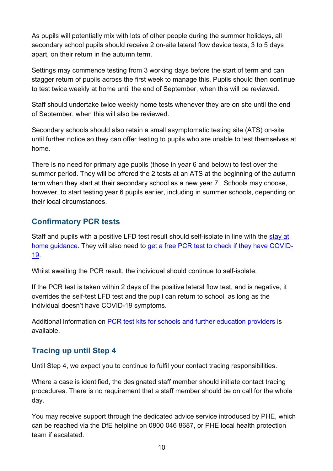As pupils will potentially mix with lots of other people during the summer holidays, all secondary school pupils should receive 2 on-site lateral flow device tests, 3 to 5 days apart, on their return in the autumn term.

Settings may commence testing from 3 working days before the start of term and can stagger return of pupils across the first week to manage this. Pupils should then continue to test twice weekly at home until the end of September, when this will be reviewed.

Staff should undertake twice weekly home tests whenever they are on site until the end of September, when this will also be reviewed.

Secondary schools should also retain a small asymptomatic testing site (ATS) on-site until further notice so they can offer testing to pupils who are unable to test themselves at home.

There is no need for primary age pupils (those in year 6 and below) to test over the summer period. They will be offered the 2 tests at an ATS at the beginning of the autumn term when they start at their secondary school as a new year 7. Schools may choose, however, to start testing year 6 pupils earlier, including in summer schools, depending on their local circumstances.

#### **Confirmatory PCR tests**

Staff and pupils with a positive LFD test result should self-isolate in line with the [stay at](https://www.gov.uk/government/publications/covid-19-stay-at-home-guidance/stay-at-home-guidance-for-households-with-possible-coronavirus-covid-19-infection)  [home guidance.](https://www.gov.uk/government/publications/covid-19-stay-at-home-guidance/stay-at-home-guidance-for-households-with-possible-coronavirus-covid-19-infection) They will also need to [get a free PCR test to check if they have COVID-](https://www.gov.uk/get-coronavirus-test)[19.](https://www.gov.uk/get-coronavirus-test)

Whilst awaiting the PCR result, the individual should continue to self-isolate.

If the PCR test is taken within 2 days of the positive lateral flow test, and is negative, it overrides the self-test LFD test and the pupil can return to school, as long as the individual doesn't have COVID-19 symptoms.

Additional information on [PCR test kits for schools and further education providers](https://www.gov.uk/government/publications/coronavirus-covid-19-home-test-kits-for-schools-and-fe-providers/coronavirus-covid-19-home-test-kits-for-schools-and-fe-providers) is available.

#### **Tracing up until Step 4**

Until Step 4, we expect you to continue to fulfil your contact tracing responsibilities.

Where a case is identified, the designated staff member should initiate contact tracing procedures. There is no requirement that a staff member should be on call for the whole day.

You may receive support through the dedicated advice service introduced by PHE, which can be reached via the DfE helpline on 0800 046 8687, or PHE local health protection team if escalated.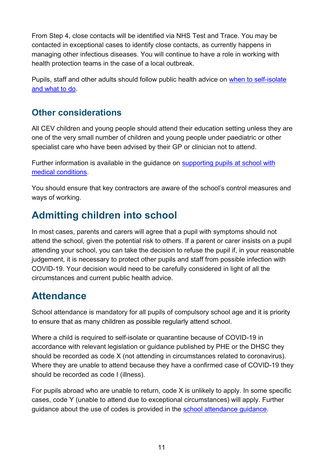From Step 4, close contacts will be identified via NHS Test and Trace. You may be contacted in exceptional cases to identify close contacts, as currently happens in managing other infectious diseases. You will continue to have a role in working with health protection teams in the case of a local outbreak.

Pupils, staff and other adults should follow public health advice on [when to self-isolate](https://www.nhs.uk/conditions/coronavirus-covid-19/self-isolation-and-treatment/when-to-self-isolate-and-what-to-do/)  [and what to do.](https://www.nhs.uk/conditions/coronavirus-covid-19/self-isolation-and-treatment/when-to-self-isolate-and-what-to-do/)

## <span id="page-10-0"></span>**Other considerations**

All CEV children and young people should attend their education setting unless they are one of the very small number of children and young people under paediatric or other specialist care who have been advised by their GP or clinician not to attend.

Further information is available in the guidance on [supporting pupils at school with](https://www.gov.uk/government/publications/supporting-pupils-at-school-with-medical-conditions--3)  [medical conditions.](https://www.gov.uk/government/publications/supporting-pupils-at-school-with-medical-conditions--3)

You should ensure that key contractors are aware of the school's control measures and ways of working.

# <span id="page-10-1"></span>**Admitting children into school**

In most cases, parents and carers will agree that a pupil with symptoms should not attend the school, given the potential risk to others. If a parent or carer insists on a pupil attending your school, you can take the decision to refuse the pupil if, in your reasonable judgement, it is necessary to protect other pupils and staff from possible infection with COVID-19. Your decision would need to be carefully considered in light of all the circumstances and current public health advice.

## <span id="page-10-2"></span>**Attendance**

School attendance is mandatory for all pupils of compulsory school age and it is priority to ensure that as many children as possible regularly attend school.

Where a child is required to self-isolate or quarantine because of COVID-19 in accordance with relevant legislation or guidance published by PHE or the DHSC they should be recorded as code X (not attending in circumstances related to coronavirus). Where they are unable to attend because they have a confirmed case of COVID-19 they should be recorded as code I (illness).

For pupils abroad who are unable to return, code X is unlikely to apply. In some specific cases, code Y (unable to attend due to exceptional circumstances) will apply. Further guidance about the use of codes is provided in the [school attendance guidance.](https://www.gov.uk/government/publications/school-attendance)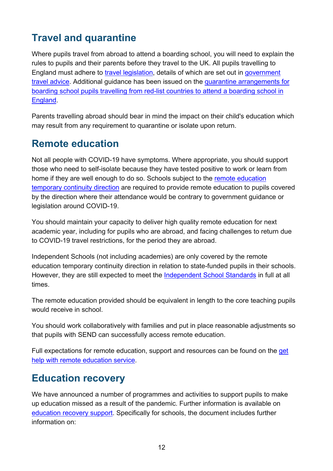# <span id="page-11-0"></span>**Travel and quarantine**

Where pupils travel from abroad to attend a boarding school, you will need to explain the rules to pupils and their parents before they travel to the UK. All pupils travelling to England must adhere to [travel legislation,](https://www.legislation.gov.uk/uksi/2021/582/contents) details of which are set out in [government](https://www.gov.uk/guidance/red-amber-and-green-list-rules-for-entering-england)  [travel advice.](https://www.gov.uk/guidance/red-amber-and-green-list-rules-for-entering-england) Additional guidance has been issued on the [quarantine arrangements for](https://www.gov.uk/government/publications/quarantine-arrangements-for-boarding-school-students-from-red-list-countries)  [boarding school pupils travelling from red-list countries to attend a boarding school in](https://www.gov.uk/government/publications/quarantine-arrangements-for-boarding-school-students-from-red-list-countries)  [England.](https://www.gov.uk/government/publications/quarantine-arrangements-for-boarding-school-students-from-red-list-countries)

Parents travelling abroad should bear in mind the impact on their child's education which may result from any requirement to quarantine or isolate upon return.

# <span id="page-11-1"></span>**Remote education**

Not all people with COVID-19 have symptoms. Where appropriate, you should support those who need to self-isolate because they have tested positive to work or learn from home if they are well enough to do so. Schools subject to the [remote education](https://www.gov.uk/government/publications/remote-education-temporary-continuity-direction-explanatory-note)  [temporary continuity direction](https://www.gov.uk/government/publications/remote-education-temporary-continuity-direction-explanatory-note) are required to provide remote education to pupils covered by the direction where their attendance would be contrary to government guidance or legislation around COVID-19.

You should maintain your capacity to deliver high quality remote education for next academic year, including for pupils who are abroad, and facing challenges to return due to COVID-19 travel restrictions, for the period they are abroad.

Independent Schools (not including academies) are only covered by the remote education temporary continuity direction in relation to state-funded pupils in their schools. However, they are still expected to meet the [Independent School Standards](https://www.gov.uk/government/publications/regulating-independent-schools) in full at all times.

The remote education provided should be equivalent in length to the core teaching pupils would receive in school.

You should work collaboratively with families and put in place reasonable adjustments so that pupils with SEND can successfully access remote education.

Full expectations for remote education, support and resources can be found on the [get](https://get-help-with-remote-education.education.gov.uk/safeguarding)  [help with remote education service.](https://get-help-with-remote-education.education.gov.uk/safeguarding)

## <span id="page-11-2"></span>**Education recovery**

We have announced a number of programmes and activities to support pupils to make up education missed as a result of the pandemic. Further information is available on [education recovery support.](https://www.gov.uk/government/publications/education-recovery-support) Specifically for schools, the document includes further information on: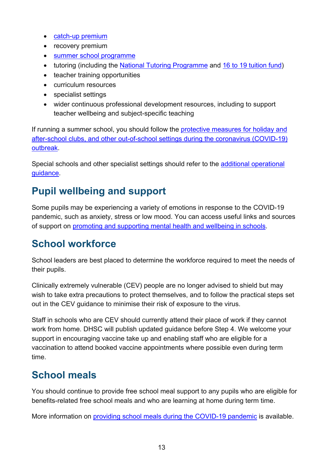- [catch-up premium](https://www.gov.uk/government/publications/catch-up-premium-coronavirus-covid-19/catch-up-premium)
- recovery premium
- [summer school programme](https://www.gov.uk/government/publications/summer-schools-programme)
- tutoring (including the [National Tutoring Programme](https://nationaltutoring.org.uk/) and 16 [to 19 tuition fund\)](https://www.gov.uk/guidance/16-to-19-funding-16-to-19-tuition-fund)
- teacher training opportunities
- curriculum resources
- specialist settings
- wider continuous professional development resources, including to support teacher wellbeing and subject-specific teaching

If running a summer school, you should follow the protective measures for holiday and [after-school clubs, and other out-of-school settings during the coronavirus \(COVID-19\)](https://www.gov.uk/government/publications/protective-measures-for-holiday-or-after-school-clubs-and-other-out-of-school-settings-for-children-during-the-coronavirus-covid-19-outbreak/protective-measures-for-holiday-and-after-school-clubs-and-other-out-of-school-settings-during-the-coronavirus-covid-19-outbreak)  [outbreak.](https://www.gov.uk/government/publications/protective-measures-for-holiday-or-after-school-clubs-and-other-out-of-school-settings-for-children-during-the-coronavirus-covid-19-outbreak/protective-measures-for-holiday-and-after-school-clubs-and-other-out-of-school-settings-during-the-coronavirus-covid-19-outbreak)

Special schools and other specialist settings should refer to the [additional operational](https://www.gov.uk/government/publications/guidance-for-full-opening-special-schools-and-other-specialist-settings/send-and-specialist-settings-additional-operational-guidance-coronavirus-covid-19)  [guidance.](https://www.gov.uk/government/publications/guidance-for-full-opening-special-schools-and-other-specialist-settings/send-and-specialist-settings-additional-operational-guidance-coronavirus-covid-19)

# <span id="page-12-0"></span>**Pupil wellbeing and support**

Some pupils may be experiencing a variety of emotions in response to the COVID-19 pandemic, such as anxiety, stress or low mood. You can access useful links and sources of support on [promoting and supporting mental health and wellbeing in schools.](https://www.gov.uk/guidance/mental-health-and-wellbeing-support-in-schools-and-colleges#contents)

# <span id="page-12-1"></span>**School workforce**

School leaders are best placed to determine the workforce required to meet the needs of their pupils.

Clinically extremely vulnerable (CEV) people are no longer advised to shield but may wish to take extra precautions to protect themselves, and to follow the practical steps set out in the CEV guidance to minimise their risk of exposure to the virus.

Staff in schools who are CEV should currently attend their place of work if they cannot work from home. DHSC will publish updated guidance before Step 4. We welcome your support in encouraging vaccine take up and enabling staff who are eligible for a vaccination to attend booked vaccine appointments where possible even during term time.

# <span id="page-12-2"></span>**School meals**

You should continue to provide free school meal support to any pupils who are eligible for benefits-related free school meals and who are learning at home during term time.

More information on [providing school meals during the COVID-19 pandemic](https://www.gov.uk/government/publications/covid-19-free-school-meals-guidance/covid-19-free-school-meals-guidance-for-schools) is available.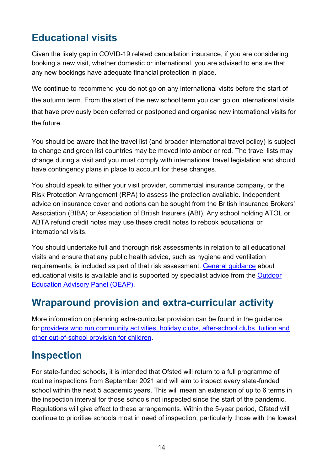# <span id="page-13-0"></span>**Educational visits**

Given the likely gap in COVID-19 related cancellation insurance, if you are considering booking a new visit, whether domestic or international, you are advised to ensure that any new bookings have adequate financial protection in place.

We continue to recommend you do not go on any international visits before the start of the autumn term. From the start of the new school term you can go on international visits that have previously been deferred or postponed and organise new international visits for the future.

You should be aware that the travel list (and broader international travel policy) is subject to change and green list countries may be moved into amber or red. The travel lists may change during a visit and you must comply with international travel legislation and should have contingency plans in place to account for these changes.

You should speak to either your visit provider, commercial insurance company, or the Risk Protection Arrangement (RPA) to assess the protection available. Independent advice on insurance cover and options can be sought from the British Insurance Brokers' Association (BIBA) or Association of British Insurers (ABI). Any school holding ATOL or ABTA refund credit notes may use these credit notes to rebook educational or international visits.

You should undertake full and thorough risk assessments in relation to all educational visits and ensure that any public health advice, such as hygiene and ventilation requirements, is included as part of that risk assessment. [General guidance](https://www.gov.uk/government/publications/health-and-safety-on-educational-visits) about educational visits is available and is supported by specialist advice from the [Outdoor](https://oeapng.info/)  [Education Advisory Panel \(OEAP\).](https://oeapng.info/)

## <span id="page-13-1"></span>**Wraparound provision and extra-curricular activity**

More information on planning extra-curricular provision can be found in the guidance for [providers who run community activities, holiday clubs, after-school clubs, tuition and](https://www.gov.uk/government/publications/protective-measures-for-holiday-or-after-school-clubs-and-other-out-of-school-settings-for-children-during-the-coronavirus-covid-19-outbreak/protective-measures-for-holiday-and-after-school-clubs-and-other-out-of-school-settings-during-the-coronavirus-covid-19-outbreak)  [other out-of-school provision for children.](https://www.gov.uk/government/publications/protective-measures-for-holiday-or-after-school-clubs-and-other-out-of-school-settings-for-children-during-the-coronavirus-covid-19-outbreak/protective-measures-for-holiday-and-after-school-clubs-and-other-out-of-school-settings-during-the-coronavirus-covid-19-outbreak)

# <span id="page-13-2"></span>**Inspection**

For state-funded schools, it is intended that Ofsted will return to a full programme of routine inspections from September 2021 and will aim to inspect every state-funded school within the next 5 academic years. This will mean an extension of up to 6 terms in the inspection interval for those schools not inspected since the start of the pandemic. Regulations will give effect to these arrangements. Within the 5-year period, Ofsted will continue to prioritise schools most in need of inspection, particularly those with the lowest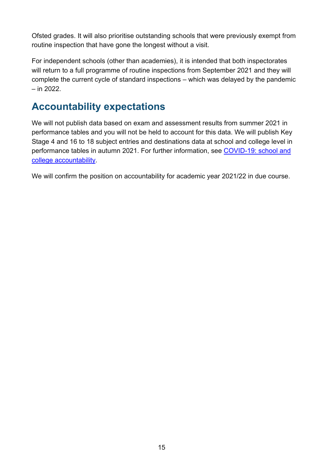Ofsted grades. It will also prioritise outstanding schools that were previously exempt from routine inspection that have gone the longest without a visit.

For independent schools (other than academies), it is intended that both inspectorates will return to a full programme of routine inspections from September 2021 and they will complete the current cycle of standard inspections – which was delayed by the pandemic – in 2022.

# <span id="page-14-0"></span>**Accountability expectations**

We will not publish data based on exam and assessment results from summer 2021 in performance tables and you will not be held to account for this data. We will publish Key Stage 4 and 16 to 18 subject entries and destinations data at school and college level in performance tables in autumn 2021. For further information, see [COVID-19: school and](https://www.gov.uk/government/publications/coronavirus-covid-19-school-and-college-performance-measures)  [college accountability.](https://www.gov.uk/government/publications/coronavirus-covid-19-school-and-college-performance-measures)

We will confirm the position on accountability for academic year 2021/22 in due course.